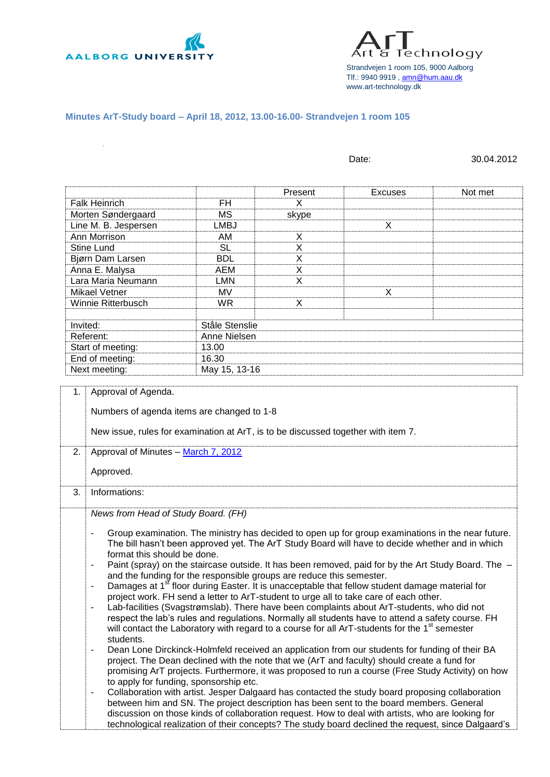

Technology Strandvejen 1 room 105, 9000 Aalborg Tlf.: 9940 9919 [, amn@hum.aau.dk](mailto:amn@hum.aau.dk) www.art-technology.dk

## **Minutes ArT-Study board – April 18, 2012, 13.00-16.00- Strandvejen 1 room 105**

| <b>Falk Heinrich</b><br>Morten Søndergaard<br>Line M. B. Jespersen                                                                          |                                                                                                                |         |                                                                                                                                                                                                                                                                                                                                                                                                                                                                                                                                                                                                                                                                                                                                                                                                                                                                                                                                                                                                                                                                                                                                                                                                                                                                                                                                                                                                                                            |         |  |
|---------------------------------------------------------------------------------------------------------------------------------------------|----------------------------------------------------------------------------------------------------------------|---------|--------------------------------------------------------------------------------------------------------------------------------------------------------------------------------------------------------------------------------------------------------------------------------------------------------------------------------------------------------------------------------------------------------------------------------------------------------------------------------------------------------------------------------------------------------------------------------------------------------------------------------------------------------------------------------------------------------------------------------------------------------------------------------------------------------------------------------------------------------------------------------------------------------------------------------------------------------------------------------------------------------------------------------------------------------------------------------------------------------------------------------------------------------------------------------------------------------------------------------------------------------------------------------------------------------------------------------------------------------------------------------------------------------------------------------------------|---------|--|
|                                                                                                                                             |                                                                                                                | Present | <b>Excuses</b>                                                                                                                                                                                                                                                                                                                                                                                                                                                                                                                                                                                                                                                                                                                                                                                                                                                                                                                                                                                                                                                                                                                                                                                                                                                                                                                                                                                                                             | Not met |  |
|                                                                                                                                             | FH                                                                                                             | X       |                                                                                                                                                                                                                                                                                                                                                                                                                                                                                                                                                                                                                                                                                                                                                                                                                                                                                                                                                                                                                                                                                                                                                                                                                                                                                                                                                                                                                                            |         |  |
|                                                                                                                                             | <b>MS</b>                                                                                                      | skype   |                                                                                                                                                                                                                                                                                                                                                                                                                                                                                                                                                                                                                                                                                                                                                                                                                                                                                                                                                                                                                                                                                                                                                                                                                                                                                                                                                                                                                                            |         |  |
|                                                                                                                                             | <b>LMBJ</b>                                                                                                    |         | X                                                                                                                                                                                                                                                                                                                                                                                                                                                                                                                                                                                                                                                                                                                                                                                                                                                                                                                                                                                                                                                                                                                                                                                                                                                                                                                                                                                                                                          |         |  |
| Ann Morrison                                                                                                                                | AM                                                                                                             | X       |                                                                                                                                                                                                                                                                                                                                                                                                                                                                                                                                                                                                                                                                                                                                                                                                                                                                                                                                                                                                                                                                                                                                                                                                                                                                                                                                                                                                                                            |         |  |
| <b>Stine Lund</b>                                                                                                                           | <b>SL</b>                                                                                                      | X       |                                                                                                                                                                                                                                                                                                                                                                                                                                                                                                                                                                                                                                                                                                                                                                                                                                                                                                                                                                                                                                                                                                                                                                                                                                                                                                                                                                                                                                            |         |  |
| Bjørn Dam Larsen                                                                                                                            | <b>BDL</b>                                                                                                     | X       |                                                                                                                                                                                                                                                                                                                                                                                                                                                                                                                                                                                                                                                                                                                                                                                                                                                                                                                                                                                                                                                                                                                                                                                                                                                                                                                                                                                                                                            |         |  |
| Anna E. Malysa                                                                                                                              | <b>AEM</b>                                                                                                     | X       |                                                                                                                                                                                                                                                                                                                                                                                                                                                                                                                                                                                                                                                                                                                                                                                                                                                                                                                                                                                                                                                                                                                                                                                                                                                                                                                                                                                                                                            |         |  |
| Lara Maria Neumann                                                                                                                          | <b>LMN</b>                                                                                                     | X       |                                                                                                                                                                                                                                                                                                                                                                                                                                                                                                                                                                                                                                                                                                                                                                                                                                                                                                                                                                                                                                                                                                                                                                                                                                                                                                                                                                                                                                            |         |  |
| <b>Mikael Vetner</b>                                                                                                                        | <b>MV</b>                                                                                                      |         | X                                                                                                                                                                                                                                                                                                                                                                                                                                                                                                                                                                                                                                                                                                                                                                                                                                                                                                                                                                                                                                                                                                                                                                                                                                                                                                                                                                                                                                          |         |  |
| Winnie Ritterbusch                                                                                                                          | <b>WR</b>                                                                                                      | X       |                                                                                                                                                                                                                                                                                                                                                                                                                                                                                                                                                                                                                                                                                                                                                                                                                                                                                                                                                                                                                                                                                                                                                                                                                                                                                                                                                                                                                                            |         |  |
| Invited:                                                                                                                                    | Ståle Stenslie                                                                                                 |         |                                                                                                                                                                                                                                                                                                                                                                                                                                                                                                                                                                                                                                                                                                                                                                                                                                                                                                                                                                                                                                                                                                                                                                                                                                                                                                                                                                                                                                            |         |  |
| Referent:                                                                                                                                   | Anne Nielsen                                                                                                   |         |                                                                                                                                                                                                                                                                                                                                                                                                                                                                                                                                                                                                                                                                                                                                                                                                                                                                                                                                                                                                                                                                                                                                                                                                                                                                                                                                                                                                                                            |         |  |
| Start of meeting:                                                                                                                           | 13.00                                                                                                          |         |                                                                                                                                                                                                                                                                                                                                                                                                                                                                                                                                                                                                                                                                                                                                                                                                                                                                                                                                                                                                                                                                                                                                                                                                                                                                                                                                                                                                                                            |         |  |
| End of meeting:                                                                                                                             | 16.30                                                                                                          |         |                                                                                                                                                                                                                                                                                                                                                                                                                                                                                                                                                                                                                                                                                                                                                                                                                                                                                                                                                                                                                                                                                                                                                                                                                                                                                                                                                                                                                                            |         |  |
| Next meeting:                                                                                                                               | May 15, 13-16                                                                                                  |         |                                                                                                                                                                                                                                                                                                                                                                                                                                                                                                                                                                                                                                                                                                                                                                                                                                                                                                                                                                                                                                                                                                                                                                                                                                                                                                                                                                                                                                            |         |  |
| New issue, rules for examination at ArT, is to be discussed together with item 7.<br>Approval of Minutes - March 7, 2012<br>2.<br>Approved. |                                                                                                                |         |                                                                                                                                                                                                                                                                                                                                                                                                                                                                                                                                                                                                                                                                                                                                                                                                                                                                                                                                                                                                                                                                                                                                                                                                                                                                                                                                                                                                                                            |         |  |
| 3.<br>Informations:                                                                                                                         |                                                                                                                |         |                                                                                                                                                                                                                                                                                                                                                                                                                                                                                                                                                                                                                                                                                                                                                                                                                                                                                                                                                                                                                                                                                                                                                                                                                                                                                                                                                                                                                                            |         |  |
| News from Head of Study Board. (FH)<br>format this should be done.<br>$\qquad \qquad \blacksquare$<br>-<br>students.<br>-                   | and the funding for the responsible groups are reduce this semester.<br>to apply for funding, sponsorship etc. |         | Group examination. The ministry has decided to open up for group examinations in the near future.<br>The bill hasn't been approved yet. The ArT Study Board will have to decide whether and in which<br>Paint (spray) on the staircase outside. It has been removed, paid for by the Art Study Board. The<br>Damages at 1 <sup>st</sup> floor during Easter. It is unacceptable that fellow student damage material for<br>project work. FH send a letter to ArT-student to urge all to take care of each other.<br>Lab-facilities (Svagstrømslab). There have been complaints about ArT-students, who did not<br>respect the lab's rules and regulations. Normally all students have to attend a safety course. FH<br>will contact the Laboratory with regard to a course for all ArT-students for the 1 <sup>st</sup> semester<br>Dean Lone Dirckinck-Holmfeld received an application from our students for funding of their BA<br>project. The Dean declined with the note that we (ArT and faculty) should create a fund for<br>promising ArT projects. Furthermore, it was proposed to run a course (Free Study Activity) on how<br>Collaboration with artist. Jesper Dalgaard has contacted the study board proposing collaboration<br>between him and SN. The project description has been sent to the board members. General<br>discussion on those kinds of collaboration request. How to deal with artists, who are looking for |         |  |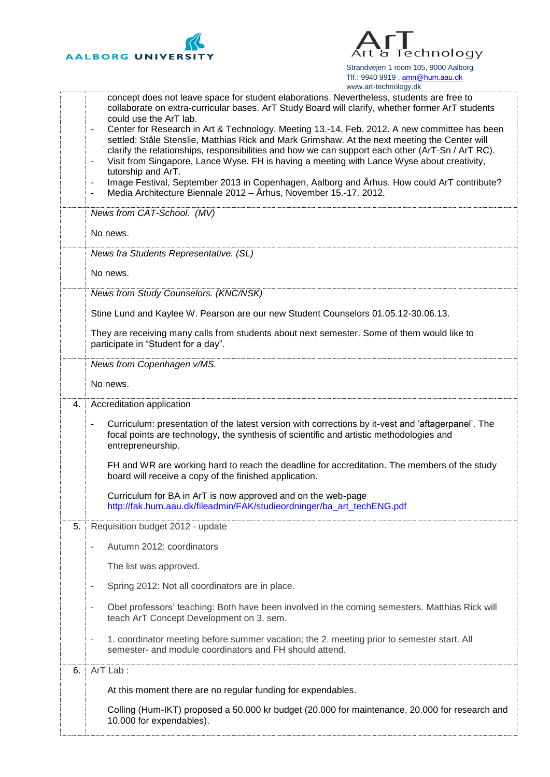



|    | www.art-technology.ak                                                                                                                                                                                                                                                                                                                                                                                                                                                                                                                                                                                                                                                                                                                                                                                                                               |
|----|-----------------------------------------------------------------------------------------------------------------------------------------------------------------------------------------------------------------------------------------------------------------------------------------------------------------------------------------------------------------------------------------------------------------------------------------------------------------------------------------------------------------------------------------------------------------------------------------------------------------------------------------------------------------------------------------------------------------------------------------------------------------------------------------------------------------------------------------------------|
|    | concept does not leave space for student elaborations. Nevertheless, students are free to<br>collaborate on extra-curricular bases. ArT Study Board will clarify, whether former ArT students<br>could use the ArT lab.<br>Center for Research in Art & Technology. Meeting 13.-14. Feb. 2012. A new committee has been<br>settled: Ståle Stenslie, Matthias Rick and Mark Grimshaw. At the next meeting the Center will<br>clarify the relationships, responsibilities and how we can support each other (ArT-Sn / ArT RC).<br>Visit from Singapore, Lance Wyse. FH is having a meeting with Lance Wyse about creativity,<br>$\overline{\phantom{a}}$<br>tutorship and ArT.<br>Image Festival, September 2013 in Copenhagen, Aalborg and Århus. How could ArT contribute?<br>۰<br>Media Architecture Biennale 2012 - Århus, November 15.-17. 2012. |
|    | News from CAT-School. (MV)                                                                                                                                                                                                                                                                                                                                                                                                                                                                                                                                                                                                                                                                                                                                                                                                                          |
|    | No news.                                                                                                                                                                                                                                                                                                                                                                                                                                                                                                                                                                                                                                                                                                                                                                                                                                            |
|    | News fra Students Representative. (SL)                                                                                                                                                                                                                                                                                                                                                                                                                                                                                                                                                                                                                                                                                                                                                                                                              |
|    | No news.                                                                                                                                                                                                                                                                                                                                                                                                                                                                                                                                                                                                                                                                                                                                                                                                                                            |
|    | News from Study Counselors. (KNC/NSK)                                                                                                                                                                                                                                                                                                                                                                                                                                                                                                                                                                                                                                                                                                                                                                                                               |
|    | Stine Lund and Kaylee W. Pearson are our new Student Counselors 01.05.12-30.06.13.                                                                                                                                                                                                                                                                                                                                                                                                                                                                                                                                                                                                                                                                                                                                                                  |
|    | They are receiving many calls from students about next semester. Some of them would like to<br>participate in "Student for a day".                                                                                                                                                                                                                                                                                                                                                                                                                                                                                                                                                                                                                                                                                                                  |
|    | News from Copenhagen v/MS.                                                                                                                                                                                                                                                                                                                                                                                                                                                                                                                                                                                                                                                                                                                                                                                                                          |
|    | No news.                                                                                                                                                                                                                                                                                                                                                                                                                                                                                                                                                                                                                                                                                                                                                                                                                                            |
| 4. | Accreditation application                                                                                                                                                                                                                                                                                                                                                                                                                                                                                                                                                                                                                                                                                                                                                                                                                           |
|    | Curriculum: presentation of the latest version with corrections by it-vest and 'aftagerpanel'. The<br>focal points are technology, the synthesis of scientific and artistic methodologies and<br>entrepreneurship.                                                                                                                                                                                                                                                                                                                                                                                                                                                                                                                                                                                                                                  |
|    | FH and WR are working hard to reach the deadline for accreditation. The members of the study<br>board will receive a copy of the finished application.                                                                                                                                                                                                                                                                                                                                                                                                                                                                                                                                                                                                                                                                                              |
|    | Curriculum for BA in ArT is now approved and on the web-page<br>http://fak.hum.aau.dk/fileadmin/FAK/studieordninger/ba_art_techENG.pdf                                                                                                                                                                                                                                                                                                                                                                                                                                                                                                                                                                                                                                                                                                              |
| 5. | Requisition budget 2012 - update                                                                                                                                                                                                                                                                                                                                                                                                                                                                                                                                                                                                                                                                                                                                                                                                                    |
|    | Autumn 2012: coordinators                                                                                                                                                                                                                                                                                                                                                                                                                                                                                                                                                                                                                                                                                                                                                                                                                           |
|    | The list was approved.                                                                                                                                                                                                                                                                                                                                                                                                                                                                                                                                                                                                                                                                                                                                                                                                                              |
|    | Spring 2012: Not all coordinators are in place.<br>٠                                                                                                                                                                                                                                                                                                                                                                                                                                                                                                                                                                                                                                                                                                                                                                                                |
|    | Obel professors' teaching: Both have been involved in the coming semesters. Matthias Rick will<br>$\overline{a}$<br>teach ArT Concept Development on 3. sem.                                                                                                                                                                                                                                                                                                                                                                                                                                                                                                                                                                                                                                                                                        |
|    | 1. coordinator meeting before summer vacation; the 2. meeting prior to semester start. All<br>$\overline{a}$<br>semester- and module coordinators and FH should attend.                                                                                                                                                                                                                                                                                                                                                                                                                                                                                                                                                                                                                                                                             |
| 6. | ArT Lab:                                                                                                                                                                                                                                                                                                                                                                                                                                                                                                                                                                                                                                                                                                                                                                                                                                            |
|    | At this moment there are no regular funding for expendables.                                                                                                                                                                                                                                                                                                                                                                                                                                                                                                                                                                                                                                                                                                                                                                                        |
|    | Colling (Hum-IKT) proposed a 50.000 kr budget (20.000 for maintenance, 20.000 for research and<br>10.000 for expendables).                                                                                                                                                                                                                                                                                                                                                                                                                                                                                                                                                                                                                                                                                                                          |